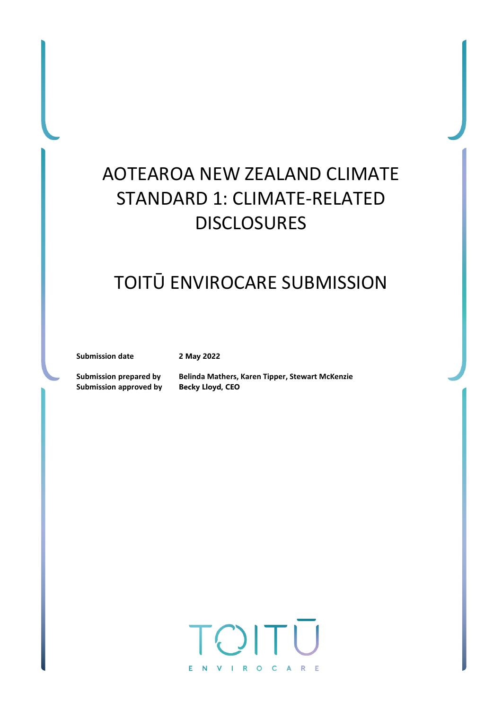# AOTEAROA NEW ZEALAND CLIMATE STANDARD 1: CLIMATE-RELATED DISCLOSURES

# TOITŪ ENVIROCARE SUBMISSION

**Submission date 2 May 2022**

**Submission approved by Becky Lloyd, CEO**

**Submission prepared by Belinda Mathers, Karen Tipper, Stewart McKenzie**

TOIT ENVIROCARE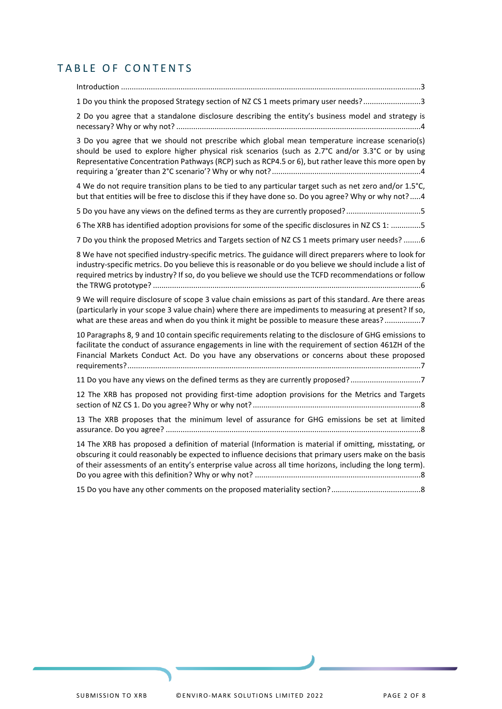# TABLE OF CONTENTS

Introduction [.............................................................................................................................................3](#page-2-0) [1 Do you think the proposed Strategy section of NZ CS 1 meets primary user needs?...........................3](#page-2-1) 2 [Do you agree that a standalone disclosure describing the entity's business model and strategy is](#page-3-0)  necessary? Why or why not? [...................................................................................................................4](#page-3-0) [3 Do you agree that we should not prescribe which global mean temperature increase scenario\(s\)](#page-3-1)  [should be used to explore higher physical risk scenarios \(such as 2.7°C and/or 3.3°C or by using](#page-3-1)  [Representative Concentration Pathways \(RCP\) such as RCP4.5 or 6\), but rather leave this more open by](#page-3-1)  [requiring a 'greater than 2°C scenario'? Why or why not?](#page-3-1)......................................................................4 [4 We do not require transition plans to be tied to any particular target such as net zero and/or 1.5°C,](#page-3-2)  [but that entities will be free to disclose this if they have done so. Do you agree? Why or why not?](#page-3-2) .....4 [5 Do you have any views on the defined terms as they are currently proposed?...................................5](#page-4-0) [6 The XRB has identified adoption provisions for some of the specific disclosures in NZ CS 1:](#page-4-1) ..............5 [7 Do you think the proposed Metrics and Targets section of NZ CS 1 meets primary user needs?](#page-5-0) ........6 [8 We have not specified industry-specific metrics. The guidance will direct preparers where to look for](#page-5-1)  [industry-specific metrics. Do you believe this is reasonable or do you believe we should include a list of](#page-5-1)  [required metrics by industry? If so, do you believe we should use the TCFD recommendations or follow](#page-5-1)  the TRWG prototype? [..............................................................................................................................6](#page-5-1) [9 We will require disclosure of scope 3 value chain emissions as part of this standard. Are there areas](#page-6-0)  [\(particularly in your scope 3 value chain\) where there are impediments to measuring at present? If so,](#page-6-0)  [what are these areas and when do you think it might be possible to measure these areas?](#page-6-0) ..................7 [10 Paragraphs 8, 9 and 10 contain specific requirements relating to the disclosure of GHG emissions](#page-6-1) to [facilitate the conduct of assurance engagements in line with the requirement of section 461ZH of the](#page-6-1)  [Financial Markets Conduct Act. Do you have any observations or concerns about these proposed](#page-6-1)  [requirements?..........................................................................................................................................7](#page-6-1) [11 Do you have any views on the defined terms as they are currently proposed?.................................7](#page-6-2) [12 The XRB has proposed not providing first-time adoption provisions for the Metrics and Targets](#page-7-0)  [section of NZ CS 1. Do you agree? Why or why not?](#page-7-0) ...............................................................................8 [13 The XRB proposes that the minimum level of assurance for GHG emissions be set at limited](#page-7-1)  assurance. Do you agree? [........................................................................................................................8](#page-7-1) [14 The XRB has proposed a definition of material \(Information is material if omitting, misstating, or](#page-7-2)  [obscuring it could reasonably be expected to influence decisions that primary users make on the basis](#page-7-2)  [of their assessments of an entity's enterprise value across all time horizons, including the long term\).](#page-7-2)  [Do you agree with this definition? Why or why not?](#page-7-2) ..............................................................................8 [15 Do you have any other comments on the proposed materiality section?..........................................8](#page-7-3)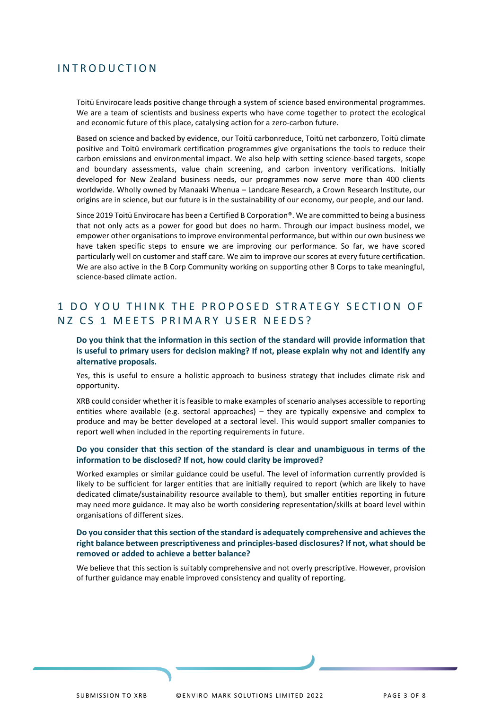### <span id="page-2-0"></span>**INTRODUCTION**

Toitū Envirocare leads positive change through a system of science based environmental programmes. We are a team of scientists and business experts who have come together to protect the ecological and economic future of this place, catalysing action for a zero-carbon future.

Based on science and backed by evidence, our Toitū carbonreduce, Toitū net carbonzero, Toitū climate positive and Toitū enviromark certification programmes give organisations the tools to reduce their carbon emissions and environmental impact. We also help with setting science-based targets, scope and boundary assessments, value chain screening, and carbon inventory verifications. Initially developed for New Zealand business needs, our programmes now serve more than 400 clients worldwide. Wholly owned by Manaaki Whenua – Landcare Research, a Crown Research Institute, our origins are in science, but our future is in the sustainability of our economy, our people, and our land.

Since 2019 Toitū Envirocare has been a Certified B Corporation®. We are committed to being a business that not only acts as a power for good but does no harm. Through our impact business model, we empower other organisations to improve environmental performance, but within our own business we have taken specific steps to ensure we are improving our performance. So far, we have scored particularly well on customer and staff care. We aim to improve our scores at every future certification. We are also active in the B Corp Community working on supporting other B Corps to take meaningful, science-based climate action.

## <span id="page-2-1"></span>1 DO YOU THINK THE PROPOSED STRATEGY SECTION OF NZ CS 1 MEETS PRIMARY USER NEEDS?

#### **Do you think that the information in this section of the standard will provide information that is useful to primary users for decision making? If not, please explain why not and identify any alternative proposals.**

Yes, this is useful to ensure a holistic approach to business strategy that includes climate risk and opportunity.

XRB could consider whether it is feasible to make examples of scenario analyses accessible to reporting entities where available (e.g. sectoral approaches) – they are typically expensive and complex to produce and may be better developed at a sectoral level. This would support smaller companies to report well when included in the reporting requirements in future.

#### **Do you consider that this section of the standard is clear and unambiguous in terms of the information to be disclosed? If not, how could clarity be improved?**

Worked examples or similar guidance could be useful. The level of information currently provided is likely to be sufficient for larger entities that are initially required to report (which are likely to have dedicated climate/sustainability resource available to them), but smaller entities reporting in future may need more guidance. It may also be worth considering representation/skills at board level within organisations of different sizes.

#### **Do you consider that this section of the standard is adequately comprehensive and achieves the right balance between prescriptiveness and principles-based disclosures? If not, what should be removed or added to achieve a better balance?**

We believe that this section is suitably comprehensive and not overly prescriptive. However, provision of further guidance may enable improved consistency and quality of reporting.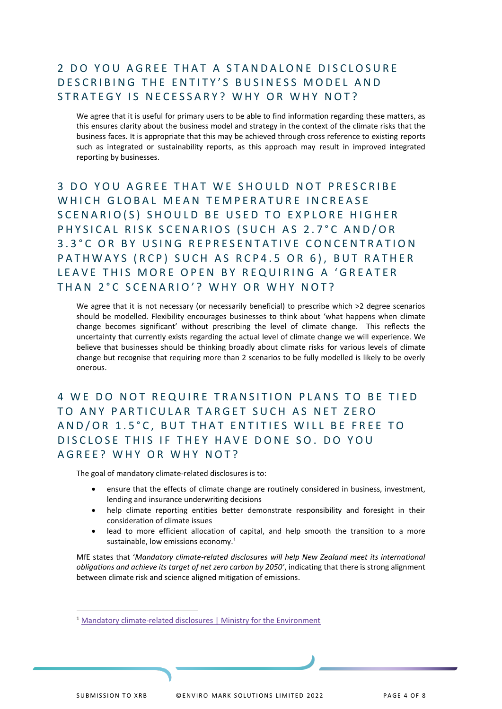# <span id="page-3-0"></span>2 DO YOU AGREE THAT A STANDALONE DISCLOSURE DESCRIBING THE ENTITY'S BUSINESS MODEL AND STRATEGY IS NECESSARY? WHY OR WHY NOT?

We agree that it is useful for primary users to be able to find information regarding these matters, as this ensures clarity about the business model and strategy in the context of the climate risks that the business faces. It is appropriate that this may be achieved through cross reference to existing reports such as integrated or sustainability reports, as this approach may result in improved integrated reporting by businesses.

<span id="page-3-1"></span>3 DO YOU AGREE THAT WE SHOULD NOT PRESCRIBE WHICH GLOBAL MEAN TEMPERATURE INCREASE SCENARIO(S) SHOULD BE USED TO EXPLORE HIGHER PHYSICAL RISK SCENARIOS (SUCH AS 2.7°C AND/OR 3.3°C OR BY USING REPRESENTATIVE CONCENTRATION PATHWAYS (RCP) SUCH AS RCP4.5 OR 6), BUT RATHER LEAVE THIS MORE OPEN BY REQUIRING A 'GREATER THAN 2°C SCENARIO'? WHY OR WHY NOT?

We agree that it is not necessary (or necessarily beneficial) to prescribe which >2 degree scenarios should be modelled. Flexibility encourages businesses to think about 'what happens when climate change becomes significant' without prescribing the level of climate change. This reflects the uncertainty that currently exists regarding the actual level of climate change we will experience. We believe that businesses should be thinking broadly about climate risks for various levels of climate change but recognise that requiring more than 2 scenarios to be fully modelled is likely to be overly onerous.

<span id="page-3-2"></span>4 WE DO NOT REQUIRE TRANSITION PLANS TO BE TIED TO ANY PARTICULAR TARGET SUCH AS NET ZERO AND/OR 1.5°C, BUT THAT ENTITIES WILL BE FREE TO DISCLOSE THIS IF THEY HAVE DONE SO. DO YOU A G R E E ? WHY OR WHY NOT ?

The goal of mandatory climate-related disclosures is to:

- ensure that the effects of climate change are routinely considered in business, investment, lending and insurance underwriting decisions
- help climate reporting entities better demonstrate responsibility and foresight in their consideration of climate issues
- lead to more efficient allocation of capital, and help smooth the transition to a more sustainable, low emissions economy.<sup>1</sup>

MfE states that '*Mandatory climate-related disclosures will help New Zealand meet its international obligations and achieve its target of net zero carbon by 2050'*, indicating that there is strong alignment between climate risk and science aligned mitigation of emissions.

<sup>&</sup>lt;sup>1</sup> [Mandatory climate-related disclosures | Ministry for the Environment](https://environment.govt.nz/what-government-is-doing/areas-of-work/climate-change/mandatory-climate-related-financial-disclosures/)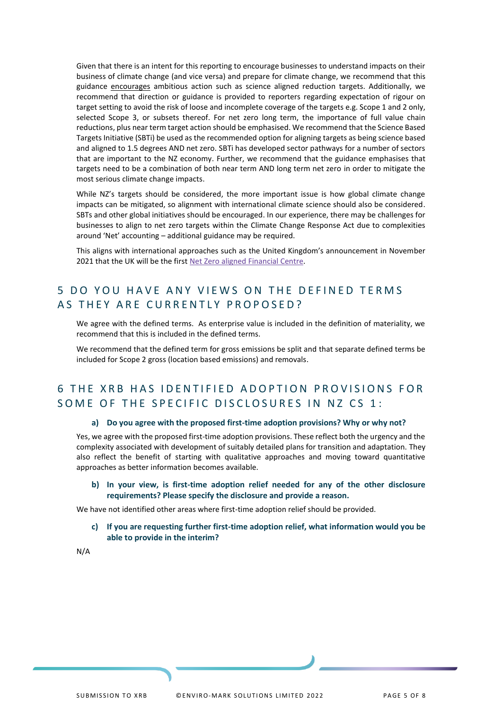Given that there is an intent for this reporting to encourage businesses to understand impacts on their business of climate change (and vice versa) and prepare for climate change, we recommend that this guidance encourages ambitious action such as science aligned reduction targets. Additionally, we recommend that direction or guidance is provided to reporters regarding expectation of rigour on target setting to avoid the risk of loose and incomplete coverage of the targets e.g. Scope 1 and 2 only, selected Scope 3, or subsets thereof. For net zero long term, the importance of full value chain reductions, plus near term target action should be emphasised. We recommend that the Science Based Targets Initiative (SBTi) be used as the recommended option for aligning targets as being science based and aligned to 1.5 degrees AND net zero. SBTi has developed sector pathways for a number of sectors that are important to the NZ economy. Further, we recommend that the guidance emphasises that targets need to be a combination of both near term AND long term net zero in order to mitigate the most serious climate change impacts.

While NZ's targets should be considered, the more important issue is how global climate change impacts can be mitigated, so alignment with international climate science should also be considered. SBTs and other global initiatives should be encouraged. In our experience, there may be challenges for businesses to align to net zero targets within the Climate Change Response Act due to complexities around 'Net' accounting – additional guidance may be required.

This aligns with international approaches such as the United Kingdom's announcement in November 2021 that the UK will be the first [Net Zero aligned Financial](https://www.gov.uk/government/publications/fact-sheet-net-zero-aligned-financial-centre/fact-sheet-net-zero-aligned-financial-centre) Centre.

# <span id="page-4-0"></span>5 DO YOU HAVE ANY VIEWS ON THE DEFINED TERMS AS THEY ARE CURRENTLY PROPOSED?

We agree with the defined terms. As enterprise value is included in the definition of materiality, we recommend that this is included in the defined terms.

We recommend that the defined term for gross emissions be split and that separate defined terms be included for Scope 2 gross (location based emissions) and removals.

## <span id="page-4-1"></span>6 THE XRB HAS IDENTIFIED ADOPTION PROVISIONS FOR SOME OF THE SPECIFIC DISCLOSURES IN NZ CS 1:

#### **a) Do you agree with the proposed first-time adoption provisions? Why or why not?**

Yes, we agree with the proposed first-time adoption provisions. These reflect both the urgency and the complexity associated with development of suitably detailed plans for transition and adaptation. They also reflect the benefit of starting with qualitative approaches and moving toward quantitative approaches as better information becomes available.

**b) In your view, is first-time adoption relief needed for any of the other disclosure requirements? Please specify the disclosure and provide a reason.**

We have not identified other areas where first-time adoption relief should be provided.

**c) If you are requesting further first-time adoption relief, what information would you be able to provide in the interim?**

N/A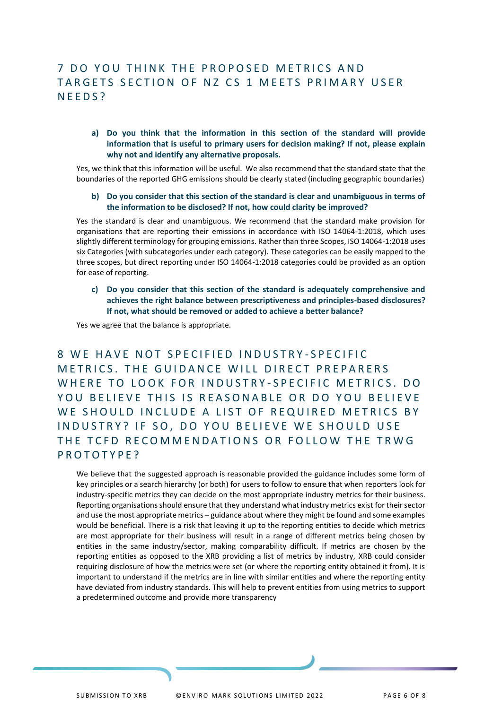# <span id="page-5-0"></span>7 DO YOU THINK THE PROPOSED METRICS AND TARGETS SECTION OF NZ CS 1 MEETS PRIMARY USER N E E D S ?

### **a) Do you think that the information in this section of the standard will provide information that is useful to primary users for decision making? If not, please explain why not and identify any alternative proposals.**

Yes, we think that this information will be useful. We also recommend that the standard state that the boundaries of the reported GHG emissions should be clearly stated (including geographic boundaries)

#### **b) Do you consider that this section of the standard is clear and unambiguous in terms of the information to be disclosed? If not, how could clarity be improved?**

Yes the standard is clear and unambiguous. We recommend that the standard make provision for organisations that are reporting their emissions in accordance with ISO 14064-1:2018, which uses slightly different terminology for grouping emissions. Rather than three Scopes, ISO 14064-1:2018 uses six Categories (with subcategories under each category). These categories can be easily mapped to the three scopes, but direct reporting under ISO 14064-1:2018 categories could be provided as an option for ease of reporting.

**c) Do you consider that this section of the standard is adequately comprehensive and achieves the right balance between prescriptiveness and principles-based disclosures? If not, what should be removed or added to achieve a better balance?**

Yes we agree that the balance is appropriate.

<span id="page-5-1"></span>8 WE HAVE NOT SPECIFIED INDUSTRY-SPECIFIC METRICS. THE GUIDANCE WILL DIRECT PREPARERS WHERE TO LOOK FOR INDUSTRY-SPECIFIC METRICS. DO YOU BELIEVE THIS IS REASONABLE OR DO YOU BELIEVE WE SHOULD INCLUDE A LIST OF REQUIRED METRICS BY INDUSTRY? IF SO, DO YOU BELIEVE WE SHOULD USE THE TCFD RECOMMENDATIONS OR FOLLOW THE TRWG PROTOTYPE?

We believe that the suggested approach is reasonable provided the guidance includes some form of key principles or a search hierarchy (or both) for users to follow to ensure that when reporters look for industry-specific metrics they can decide on the most appropriate industry metrics for their business. Reporting organisations should ensure that they understand what industry metrics exist for their sector and use the most appropriate metrics – guidance about where they might be found and some examples would be beneficial. There is a risk that leaving it up to the reporting entities to decide which metrics are most appropriate for their business will result in a range of different metrics being chosen by entities in the same industry/sector, making comparability difficult. If metrics are chosen by the reporting entities as opposed to the XRB providing a list of metrics by industry, XRB could consider requiring disclosure of how the metrics were set (or where the reporting entity obtained it from). It is important to understand if the metrics are in line with similar entities and where the reporting entity have deviated from industry standards. This will help to prevent entities from using metrics to support a predetermined outcome and provide more transparency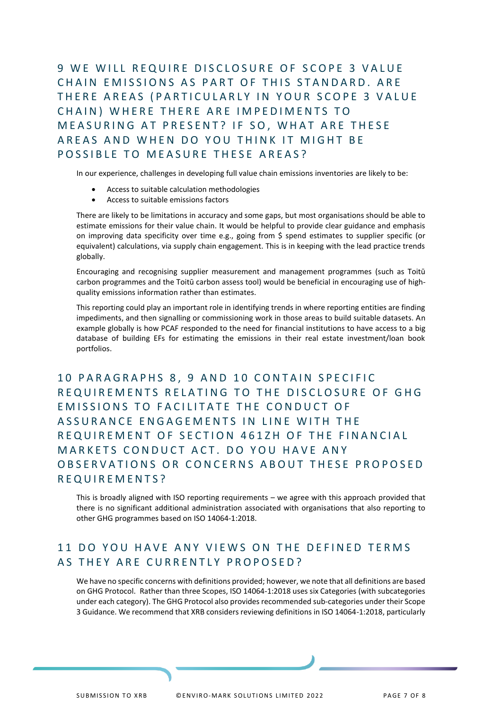<span id="page-6-0"></span>9 WE WILL REQUIRE DISCLOSURE OF SCOPE 3 VALUE CHAIN EMISSIONS AS PART OF THIS STANDARD. ARE THERE AREAS (PARTICULARLY IN YOUR SCOPE 3 VALUE CHAIN) WHERE THERE ARE IMPEDIMENTS TO MEASURING AT PRESENT? IF SO, WHAT ARE THESE AREAS AND WHEN DO YOU THINK IT MIGHT BE POSSIBLE TO MEASURE THESE AREAS?

In our experience, challenges in developing full value chain emissions inventories are likely to be:

- Access to suitable calculation methodologies
- Access to suitable emissions factors

There are likely to be limitations in accuracy and some gaps, but most organisations should be able to estimate emissions for their value chain. It would be helpful to provide clear guidance and emphasis on improving data specificity over time e.g., going from \$ spend estimates to supplier specific (or equivalent) calculations, via supply chain engagement. This is in keeping with the lead practice trends globally.

Encouraging and recognising supplier measurement and management programmes (such as Toitū carbon programmes and the Toitū carbon assess tool) would be beneficial in encouraging use of highquality emissions information rather than estimates.

This reporting could play an important role in identifying trends in where reporting entities are finding impediments, and then signalling or commissioning work in those areas to build suitable datasets. An example globally is how PCAF responded to the need for financial institutions to have access to a big database of building EFs for estimating the emissions in their real estate investment/loan book portfolios.

<span id="page-6-1"></span>10 PARAGRAPHS 8, 9 AND 10 CONTAIN SPECIFIC REQUIREMENTS RELATING TO THE DISCLOSURE OF GHG EMISSIONS TO FACILITATE THE CONDUCT OF ASSURANCE ENGAGEMENTS IN LINE WITH THE REQUIREMENT OF SECTION 461ZH OF THE FINANCIAL MARKETS CONDUCT ACT. DO YOU HAVE ANY OBSERVATIONS OR CONCERNS ABOUT THESE PROPOSED R E Q U I R E M E N T S ?

This is broadly aligned with ISO reporting requirements – we agree with this approach provided that there is no significant additional administration associated with organisations that also reporting to other GHG programmes based on ISO 14064-1:2018.

## <span id="page-6-2"></span>11 DO YOU HAVE ANY VIEWS ON THE DEFINED TERMS AS THEY ARE CURRENTLY PROPOSED?

We have no specific concerns with definitions provided; however, we note that all definitions are based on GHG Protocol. Rather than three Scopes, ISO 14064-1:2018 uses six Categories (with subcategories under each category). The GHG Protocol also provides recommended sub-categories under their Scope 3 Guidance. We recommend that XRB considers reviewing definitions in ISO 14064-1:2018, particularly